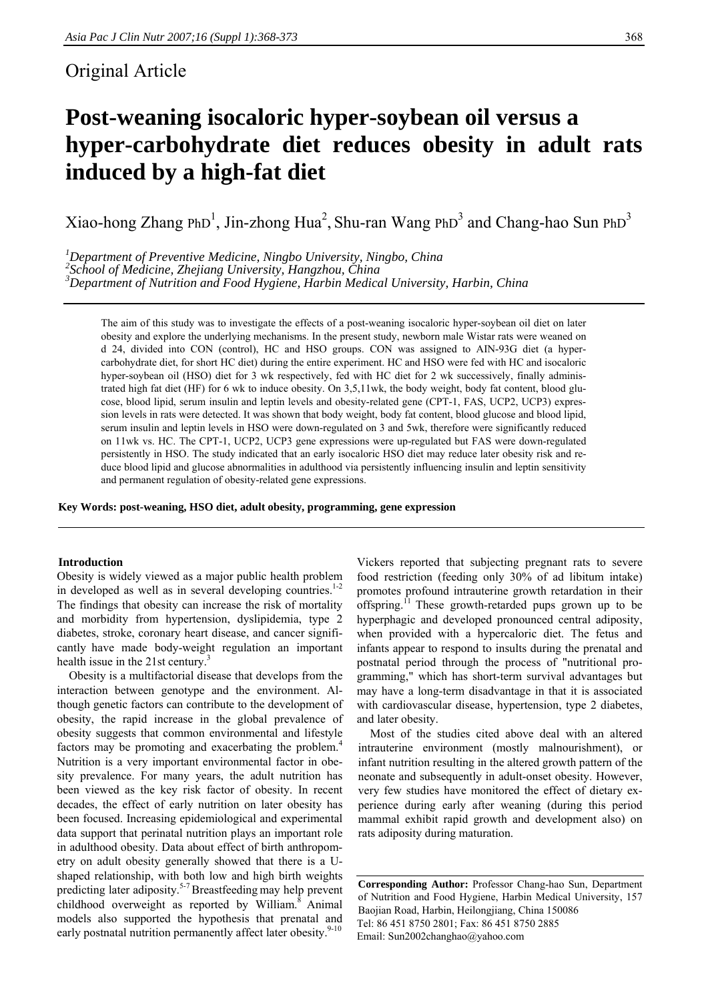# Original Article

# **Post-weaning isocaloric hyper-soybean oil versus a hyper-carbohydrate diet reduces obesity in adult rats induced by a high-fat diet**

Xiao-hong Zhang PhD<sup>1</sup>, Jin-zhong Hua<sup>2</sup>, Shu-ran Wang PhD<sup>3</sup> and Chang-hao Sun PhD<sup>3</sup>

*1 Department of Preventive Medicine, Ningbo University, Ningbo, China* 

*2 School of Medicine, Zhejiang University, Hangzhou, China 3*

*Department of Nutrition and Food Hygiene, Harbin Medical University, Harbin, China* 

The aim of this study was to investigate the effects of a post-weaning isocaloric hyper-soybean oil diet on later obesity and explore the underlying mechanisms. In the present study, newborn male Wistar rats were weaned on d 24, divided into CON (control), HC and HSO groups. CON was assigned to AIN-93G diet (a hypercarbohydrate diet, for short HC diet) during the entire experiment. HC and HSO were fed with HC and isocaloric hyper-soybean oil (HSO) diet for 3 wk respectively, fed with HC diet for 2 wk successively, finally administrated high fat diet (HF) for 6 wk to induce obesity. On 3,5,11wk, the body weight, body fat content, blood glucose, blood lipid, serum insulin and leptin levels and obesity-related gene (CPT-1, FAS, UCP2, UCP3) expression levels in rats were detected. It was shown that body weight, body fat content, blood glucose and blood lipid, serum insulin and leptin levels in HSO were down-regulated on 3 and 5wk, therefore were significantly reduced on 11wk vs. HC. The CPT-1, UCP2, UCP3 gene expressions were up-regulated but FAS were down-regulated persistently in HSO. The study indicated that an early isocaloric HSO diet may reduce later obesity risk and reduce blood lipid and glucose abnormalities in adulthood via persistently influencing insulin and leptin sensitivity and permanent regulation of obesity-related gene expressions.

**Key Words: post-weaning, HSO diet, adult obesity, programming, gene expression** 

#### **Introduction**

Obesity is widely viewed as a major public health problem in developed as well as in several developing countries. $1-2$ The findings that obesity can increase the risk of mortality and morbidity from hypertension, dyslipidemia, type 2 diabetes, stroke, coronary heart disease, and cancer significantly have made body-weight regulation an important health issue in the 21st century.<sup>3</sup>

 Obesity is a multifactorial disease that develops from the interaction between genotype and the environment. Although genetic factors can contribute to the development of obesity, the rapid increase in the global prevalence of obesity suggests that common environmental and lifestyle factors may be promoting and exacerbating the problem.<sup>4</sup> Nutrition is a very important environmental factor in obesity prevalence. For many years, the adult nutrition has been viewed as the key risk factor of obesity. In recent decades, the effect of early nutrition on later obesity has been focused. Increasing epidemiological and experimental data support that perinatal nutrition plays an important role in adulthood obesity. Data about effect of birth anthropometry on adult obesity generally showed that there is a Ushaped relationship, with both low and high birth weights predicting later adiposity.5-7 Breastfeeding may help prevent childhood overweight as reported by William.<sup>8</sup> Animal models also supported the hypothesis that prenatal and early postnatal nutrition permanently affect later obesity.<sup>9-10</sup>

Vickers reported that subjecting pregnant rats to severe food restriction (feeding only 30% of ad libitum intake) promotes profound intrauterine growth retardation in their offspring.11 These growth-retarded pups grown up to be hyperphagic and developed pronounced central adiposity, when provided with a hypercaloric diet. The fetus and infants appear to respond to insults during the prenatal and postnatal period through the process of "nutritional programming," which has short-term survival advantages but may have a long-term disadvantage in that it is associated with cardiovascular disease, hypertension, type 2 diabetes, and later obesity.

 Most of the studies cited above deal with an altered intrauterine environment (mostly malnourishment), or infant nutrition resulting in the altered growth pattern of the neonate and subsequently in adult-onset obesity. However, very few studies have monitored the effect of dietary experience during early after weaning (during this period mammal exhibit rapid growth and development also) on rats adiposity during maturation.

**Corresponding Author:** Professor Chang-hao Sun, Department of Nutrition and Food Hygiene, Harbin Medical University, 157 Baojian Road, Harbin, Heilongjiang, China 150086 Tel: 86 451 8750 2801; Fax: 86 451 8750 2885 Email: Sun2002changhao@yahoo.com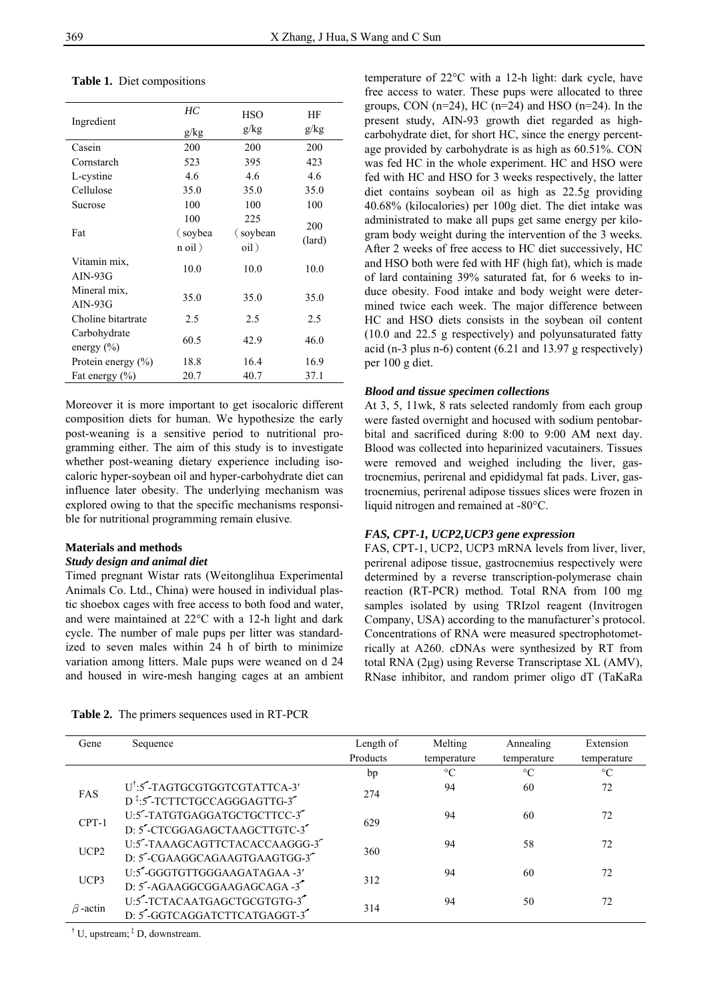| Ingredient                     | HС<br>g/kg                  | HSO<br>g/kg              | ΗF<br>g/kg    |
|--------------------------------|-----------------------------|--------------------------|---------------|
| Casein                         | 200                         | 200                      | 200           |
| Cornstarch                     | 523                         | 395                      | 423           |
| L-cystine                      | 4.6                         | 4.6                      | 4.6           |
| Cellulose                      | 35.0                        | 35.0                     | 35.0          |
| Sucrose                        | 100                         | 100                      | 100           |
| Fat                            | 100<br>(soybea)<br>$n$ oil) | 225<br>(soybean)<br>oil) | 200<br>(lard) |
| Vitamin mix,<br>$AIN-93G$      | 10.0                        | 10.0                     | 10.0          |
| Mineral mix.<br>$AIN-93G$      | 35.0                        | 35.0                     | 35.0          |
| Choline bitartrate             | 2.5                         | 2.5                      | 2.5           |
| Carbohydrate<br>energy $(\% )$ | 60.5                        | 42.9                     | 46.0          |
| Protein energy $(\% )$         | 18.8                        | 16.4                     | 16.9          |
| Fat energy $(\% )$             | 20.7                        | 40.7                     | 37.1          |

# **Table 1.** Diet compositions

Moreover it is more important to get isocaloric different composition diets for human. We hypothesize the early post-weaning is a sensitive period to nutritional programming either. The aim of this study is to investigate whether post-weaning dietary experience including isocaloric hyper-soybean oil and hyper-carbohydrate diet can influence later obesity. The underlying mechanism was explored owing to that the specific mechanisms responsible for nutritional programming remain elusive.

# **Materials and methods**

## *Study design and animal diet*

Timed pregnant Wistar rats (Weitonglihua Experimental Animals Co. Ltd., China) were housed in individual plastic shoebox cages with free access to both food and water, and were maintained at 22°C with a 12-h light and dark cycle. The number of male pups per litter was standardized to seven males within 24 h of birth to minimize variation among litters. Male pups were weaned on d 24 and housed in wire-mesh hanging cages at an ambient

**Table 2.** The primers sequences used in RT-PCR

temperature of 22°C with a 12-h light: dark cycle, have free access to water. These pups were allocated to three groups, CON  $(n=24)$ , HC  $(n=24)$  and HSO  $(n=24)$ . In the present study, AIN-93 growth diet regarded as highcarbohydrate diet, for short HC, since the energy percentage provided by carbohydrate is as high as 60.51%. CON was fed HC in the whole experiment. HC and HSO were fed with HC and HSO for 3 weeks respectively, the latter diet contains soybean oil as high as 22.5g providing 40.68% (kilocalories) per 100g diet. The diet intake was administrated to make all pups get same energy per kilogram body weight during the intervention of the 3 weeks. After 2 weeks of free access to HC diet successively, HC and HSO both were fed with HF (high fat), which is made of lard containing 39% saturated fat, for 6 weeks to induce obesity. Food intake and body weight were determined twice each week. The major difference between HC and HSO diets consists in the soybean oil content (10.0 and 22.5 g respectively) and polyunsaturated fatty acid (n-3 plus n-6) content (6.21 and 13.97 g respectively) per 100 g diet.

# *Blood and tissue specimen collections*

At 3, 5, 11wk, 8 rats selected randomly from each group were fasted overnight and hocused with sodium pentobarbital and sacrificed during 8:00 to 9:00 AM next day. Blood was collected into heparinized vacutainers. Tissues were removed and weighed including the liver, gastrocnemius, perirenal and epididymal fat pads. Liver, gastrocnemius, perirenal adipose tissues slices were frozen in liquid nitrogen and remained at -80°C.

# *FAS, CPT-1, UCP2,UCP3 gene expression*

FAS, CPT-1, UCP2, UCP3 mRNA levels from liver, liver, perirenal adipose tissue, gastrocnemius respectively were determined by a reverse transcription-polymerase chain reaction (RT-PCR) method. Total RNA from 100 mg samples isolated by using TRIzol reagent (Invitrogen Company, USA) according to the manufacturer's protocol. Concentrations of RNA were measured spectrophotometrically at A260. cDNAs were synthesized by RT from total RNA (2μg) using Reverse Transcriptase XL (AMV), RNase inhibitor, and random primer oligo dT (TaKaRa

| Gene             | Sequence                                                                              | Length of<br>Products | Melting<br>temperature | Annealing<br>temperature | Extension<br>temperature |
|------------------|---------------------------------------------------------------------------------------|-----------------------|------------------------|--------------------------|--------------------------|
|                  |                                                                                       | bp                    | $\rm ^{\circ}C$        | $\rm ^{\circ}C$          | $\rm ^{\circ}C$          |
| FAS              | U <sup>†</sup> :5'-TAGTGCGTGGTCGTATTCA-3'<br>D <sup>‡</sup> :5'-TCTTCTGCCAGGGAGTTG-3' | 274                   | 94                     | 60                       | 72                       |
| $CPT-1$          | U:5"-TATGTGAGGATGCTGCTTCC-3"<br>D: 5'-CTCGGAGAGCTAAGCTTGTC-3'                         | 629                   | 94                     | 60                       | 72                       |
| UCP <sub>2</sub> | U:5"-TAAAGCAGTTCTACACCAAGGG-3"<br>D: 5"-CGAAGGCAGAAGTGAAGTGG-3"                       | 360                   | 94                     | 58                       | 72                       |
| UCP3             | U:5"-GGGTGTTGGGAAGATAGAA -3'<br>D: 5-AGAAGGCGGAAGAGCAGA -3"                           | 312                   | 94                     | 60                       | 72                       |
| $\beta$ -actin   | U:5-TCTACAATGAGCTGCGTGTG-3<br>D: 5'-GGTCAGGATCTTCATGAGGT-3'                           | 314                   | 94                     | 50                       | 72                       |

<sup>†</sup> U, upstream;  $\frac{1}{x}$  D, downstream.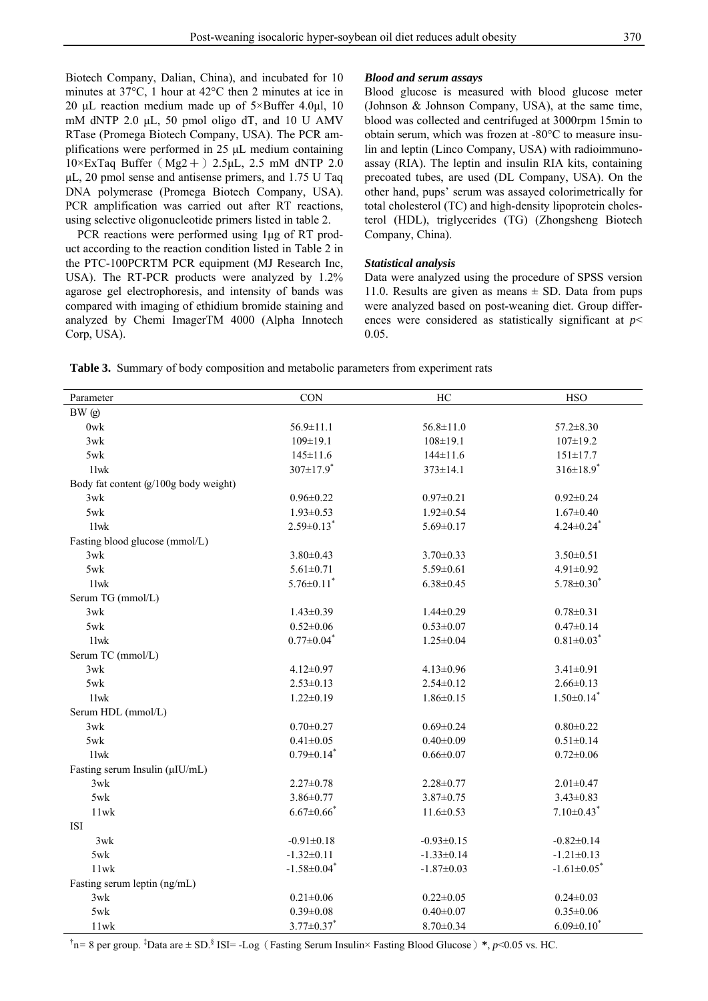Biotech Company, Dalian, China), and incubated for 10 minutes at 37°C, 1 hour at 42°C then 2 minutes at ice in 20 μL reaction medium made up of  $5 \times$ Buffer 4.0μl, 10 mM dNTP 2.0 μL, 50 pmol oligo dT, and 10 U AMV RTase (Promega Biotech Company, USA). The PCR amplifications were performed in 25 μL medium containing  $10 \times \text{ExTag Buffer}$  (Mg2+) 2.5μL, 2.5 mM dNTP 2.0 μL, 20 pmol sense and antisense primers, and 1.75 U Taq DNA polymerase (Promega Biotech Company, USA). PCR amplification was carried out after RT reactions, using selective oligonucleotide primers listed in table 2.

 PCR reactions were performed using 1μg of RT product according to the reaction condition listed in Table 2 in the PTC-100PCRTM PCR equipment (MJ Research Inc, USA). The RT-PCR products were analyzed by 1.2% agarose gel electrophoresis, and intensity of bands was compared with imaging of ethidium bromide staining and analyzed by Chemi ImagerTM 4000 (Alpha Innotech Corp, USA).

# *Blood and serum assays*

Blood glucose is measured with blood glucose meter (Johnson & Johnson Company, USA), at the same time, blood was collected and centrifuged at 3000rpm 15min to obtain serum, which was frozen at -80°C to measure insulin and leptin (Linco Company, USA) with radioimmunoassay (RIA). The leptin and insulin RIA kits, containing precoated tubes, are used (DL Company, USA). On the other hand, pups' serum was assayed colorimetrically for total cholesterol (TC) and high-density lipoprotein cholesterol (HDL), triglycerides (TG) (Zhongsheng Biotech Company, China).

#### *Statistical analysis*

Data were analyzed using the procedure of SPSS version 11.0. Results are given as means  $\pm$  SD. Data from pups were analyzed based on post-weaning diet. Group differences were considered as statistically significant at *p*< 0.05.

| <b>Table 3.</b> Summary of body composition and metabolic parameters from experiment rats |  |  |
|-------------------------------------------------------------------------------------------|--|--|
|                                                                                           |  |  |

| Parameter                             | CON                           | HC               | <b>HSO</b>                    |
|---------------------------------------|-------------------------------|------------------|-------------------------------|
| BW (g)                                |                               |                  |                               |
| 0wk                                   | $56.9 \pm 11.1$               | $56.8 \pm 11.0$  | $57.2 \pm 8.30$               |
| 3wk                                   | $109 \pm 19.1$                | $108 \pm 19.1$   | $107 \pm 19.2$                |
| 5wk                                   | $145 \pm 11.6$                | $144 \pm 11.6$   | $151 \pm 17.7$                |
| $11$ wk                               | $307 \pm 17.9$ *              | $373 \pm 14.1$   | $316 \pm 18.9$ <sup>*</sup>   |
| Body fat content (g/100g body weight) |                               |                  |                               |
| 3wk                                   | $0.96 \pm 0.22$               | $0.97 \pm 0.21$  | $0.92 \pm 0.24$               |
| 5wk                                   | $1.93 \pm 0.53$               | $1.92 \pm 0.54$  | $1.67 \pm 0.40$               |
| $11$ wk                               | $2.59 \pm 0.13$ <sup>*</sup>  | $5.69 \pm 0.17$  | $4.24 \pm 0.24$ <sup>*</sup>  |
| Fasting blood glucose (mmol/L)        |                               |                  |                               |
| 3wk                                   | $3.80 \pm 0.43$               | $3.70 \pm 0.33$  | $3.50 \pm 0.51$               |
| 5wk                                   | $5.61 \pm 0.71$               | $5.59 \pm 0.61$  | $4.91 \pm 0.92$               |
| $11$ wk                               | $5.76 \pm 0.11$ <sup>*</sup>  | $6.38 \pm 0.45$  | $5.78 \pm 0.30^*$             |
| Serum TG (mmol/L)                     |                               |                  |                               |
| 3wk                                   | $1.43 \pm 0.39$               | $1.44 \pm 0.29$  | $0.78 \pm 0.31$               |
| 5wk                                   | $0.52 \pm 0.06$               | $0.53 \pm 0.07$  | $0.47 \pm 0.14$               |
| $11$ wk                               | $0.77 \pm 0.04$ <sup>*</sup>  | $1.25 \pm 0.04$  | $0.81 \pm 0.03$ <sup>*</sup>  |
| Serum TC (mmol/L)                     |                               |                  |                               |
| 3wk                                   | $4.12 \pm 0.97$               | $4.13 \pm 0.96$  | $3.41 \pm 0.91$               |
| 5wk                                   | $2.53 \pm 0.13$               | $2.54 \pm 0.12$  | $2.66 \pm 0.13$               |
| $11$ wk                               | $1.22 \pm 0.19$               | $1.86 \pm 0.15$  | $1.50 \pm 0.14$ <sup>*</sup>  |
| Serum HDL (mmol/L)                    |                               |                  |                               |
| 3wk                                   | $0.70 \pm 0.27$               | $0.69 \pm 0.24$  | $0.80 \pm 0.22$               |
| 5wk                                   | $0.41 \pm 0.05$               | $0.40 \pm 0.09$  | $0.51 \pm 0.14$               |
| $11$ wk                               | $0.79 \pm 0.14$ <sup>*</sup>  | $0.66 \pm 0.07$  | $0.72 \pm 0.06$               |
| Fasting serum Insulin (µIU/mL)        |                               |                  |                               |
| 3wk                                   | $2.27 \pm 0.78$               | $2.28 \pm 0.77$  | $2.01 \pm 0.47$               |
| 5wk                                   | $3.86 \pm 0.77$               | $3.87 \pm 0.75$  | $3.43 \pm 0.83$               |
| 11wk                                  | $6.67 \pm 0.66$ <sup>*</sup>  | $11.6 \pm 0.53$  | $7.10\pm0.43$ <sup>*</sup>    |
| ISI                                   |                               |                  |                               |
| 3wk                                   | $-0.91 \pm 0.18$              | $-0.93 \pm 0.15$ | $-0.82 \pm 0.14$              |
| 5wk                                   | $-1.32 \pm 0.11$              | $-1.33 \pm 0.14$ | $-1.21 \pm 0.13$              |
| $11$ wk                               | $-1.58 \pm 0.04$ <sup>*</sup> | $-1.87 \pm 0.03$ | $-1.61 \pm 0.05$ <sup>*</sup> |
| Fasting serum leptin (ng/mL)          |                               |                  |                               |
| 3wk                                   | $0.21 \pm 0.06$               | $0.22 \pm 0.05$  | $0.24 \pm 0.03$               |
| 5wk                                   | $0.39 \pm 0.08$               | $0.40 \pm 0.07$  | $0.35 \pm 0.06$               |
| 11wk                                  | $3.77 \pm 0.37$ *             | $8.70 \pm 0.34$  | $6.09 \pm 0.10^*$             |

<sup>†</sup>n= 8 per group. <sup>‡</sup>Data are ± SD.<sup>§</sup> ISI= -Log (Fasting Serum Insulin× Fasting Blood Glucose) \*, *p*<0.05 vs. HC.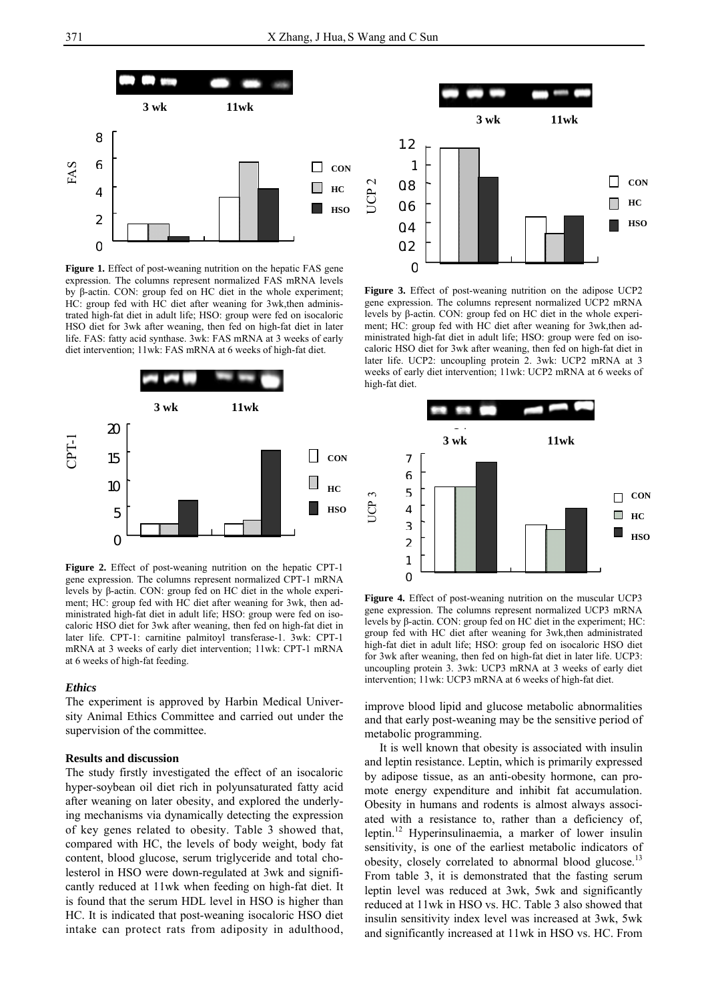

Figure 1. Effect of post-weaning nutrition on the hepatic FAS gene expression. The columns represent normalized FAS mRNA levels by β-actin. CON: group fed on HC diet in the whole experiment; HC: group fed with HC diet after weaning for 3wk,then administrated high-fat diet in adult life; HSO: group were fed on isocaloric HSO diet for 3wk after weaning, then fed on high-fat diet in later life. FAS: fatty acid synthase. 3wk: FAS mRNA at 3 weeks of early diet intervention; 11wk: FAS mRNA at 6 weeks of high-fat diet.



**Figure 2.** Effect of post-weaning nutrition on the hepatic CPT-1 gene expression. The columns represent normalized CPT-1 mRNA levels by β-actin. CON: group fed on HC diet in the whole experiment; HC: group fed with HC diet after weaning for 3wk, then administrated high-fat diet in adult life; HSO: group were fed on isocaloric HSO diet for 3wk after weaning, then fed on high-fat diet in later life. CPT-1: carnitine palmitoyl transferase-1. 3wk: CPT-1 mRNA at 3 weeks of early diet intervention; 11wk: CPT-1 mRNA at 6 weeks of high-fat feeding.

#### *Ethics*

The experiment is approved by Harbin Medical University Animal Ethics Committee and carried out under the supervision of the committee.

#### **Results and discussion**

The study firstly investigated the effect of an isocaloric hyper-soybean oil diet rich in polyunsaturated fatty acid after weaning on later obesity, and explored the underlying mechanisms via dynamically detecting the expression of key genes related to obesity. Table 3 showed that, compared with HC, the levels of body weight, body fat content, blood glucose, serum triglyceride and total cholesterol in HSO were down-regulated at 3wk and significantly reduced at 11wk when feeding on high-fat diet. It is found that the serum HDL level in HSO is higher than HC. It is indicated that post-weaning isocaloric HSO diet intake can protect rats from adiposity in adulthood,



**Figure 3.** Effect of post-weaning nutrition on the adipose UCP2 gene expression. The columns represent normalized UCP2 mRNA levels by β-actin. CON: group fed on HC diet in the whole experiment; HC: group fed with HC diet after weaning for 3wk,then administrated high-fat diet in adult life; HSO: group were fed on isocaloric HSO diet for 3wk after weaning, then fed on high-fat diet in later life. UCP2: uncoupling protein 2. 3wk: UCP2 mRNA at 3 weeks of early diet intervention; 11wk: UCP2 mRNA at 6 weeks of high-fat diet.



**Figure 4.** Effect of post-weaning nutrition on the muscular UCP3 gene expression. The columns represent normalized UCP3 mRNA levels by β-actin. CON: group fed on HC diet in the experiment; HC: group fed with HC diet after weaning for 3wk,then administrated high-fat diet in adult life; HSO: group fed on isocaloric HSO diet for 3wk after weaning, then fed on high-fat diet in later life. UCP3: uncoupling protein 3. 3wk: UCP3 mRNA at 3 weeks of early diet intervention; 11wk: UCP3 mRNA at 6 weeks of high-fat diet.

improve blood lipid and glucose metabolic abnormalities and that early post-weaning may be the sensitive period of metabolic programming.

 It is well known that obesity is associated with insulin and leptin resistance. Leptin, which is primarily expressed by adipose tissue, as an anti-obesity hormone, can promote energy expenditure and inhibit fat accumulation. Obesity in humans and rodents is almost always associated with a resistance to, rather than a deficiency of, leptin.12 Hyperinsulinaemia, a marker of lower insulin sensitivity, is one of the earliest metabolic indicators of obesity, closely correlated to abnormal blood glucose.<sup>13</sup> From table 3, it is demonstrated that the fasting serum leptin level was reduced at 3wk, 5wk and significantly reduced at 11wk in HSO vs. HC. Table 3 also showed that insulin sensitivity index level was increased at 3wk, 5wk and significantly increased at 11wk in HSO vs. HC. From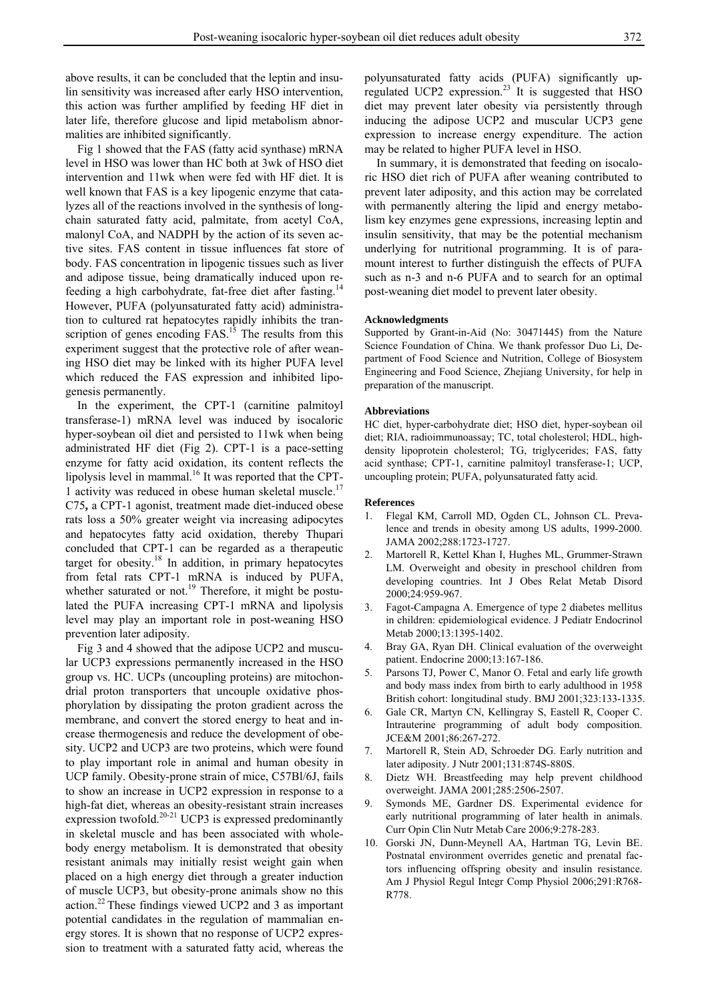above results, it can be concluded that the leptin and insulin sensitivity was increased after early HSO intervention, this action was further amplified by feeding HF diet in later life, therefore glucose and lipid metabolism abnormalities are inhibited significantly.

 Fig 1 showed that the FAS (fatty acid synthase) mRNA level in HSO was lower than HC both at 3wk of HSO diet intervention and 11wk when were fed with HF diet. It is well known that FAS is a key lipogenic enzyme that catalyzes all of the reactions involved in the synthesis of longchain saturated fatty acid, palmitate, from acetyl CoA, malonyl CoA, and NADPH by the action of its seven active sites. FAS content in tissue influences fat store of body. FAS concentration in lipogenic tissues such as liver and adipose tissue, being dramatically induced upon refeeding a high carbohydrate, fat-free diet after fasting.<sup>14</sup> However, PUFA (polyunsaturated fatty acid) administration to cultured rat hepatocytes rapidly inhibits the transcription of genes encoding  $FAS$ <sup>15</sup>. The results from this experiment suggest that the protective role of after weaning HSO diet may be linked with its higher PUFA level which reduced the FAS expression and inhibited lipogenesis permanently.

 In the experiment, the CPT-1 (carnitine palmitoyl transferase-1) mRNA level was induced by isocaloric hyper-soybean oil diet and persisted to 11wk when being administrated HF diet (Fig 2). CPT-1 is a pace-setting enzyme for fatty acid oxidation, its content reflects the lipolysis level in mammal.<sup>16</sup> It was reported that the CPT-1 activity was reduced in obese human skeletal muscle.<sup>17</sup> C75**,** a CPT-1 agonist, treatment made diet-induced obese rats loss a 50% greater weight via increasing adipocytes and hepatocytes fatty acid oxidation, thereby Thupari concluded that CPT-1 can be regarded as a therapeutic target for obesity. $18$  In addition, in primary hepatocytes from fetal rats CPT-1 mRNA is induced by PUFA, whether saturated or not.<sup>19</sup> Therefore, it might be postulated the PUFA increasing CPT-1 mRNA and lipolysis level may play an important role in post-weaning HSO prevention later adiposity.

 Fig 3 and 4 showed that the adipose UCP2 and muscular UCP3 expressions permanently increased in the HSO group vs. HC. UCPs (uncoupling proteins) are mitochondrial proton transporters that uncouple oxidative phosphorylation by dissipating the proton gradient across the membrane, and convert the stored energy to heat and increase thermogenesis and reduce the development of obesity. UCP2 and UCP3 are two proteins, which were found to play important role in animal and human obesity in UCP family. Obesity-prone strain of mice, C57Bl/6J, fails to show an increase in UCP2 expression in response to a high-fat diet, whereas an obesity-resistant strain increases expression twofold.20-21 UCP3 is expressed predominantly in skeletal muscle and has been associated with wholebody energy metabolism. It is demonstrated that obesity resistant animals may initially resist weight gain when placed on a high energy diet through a greater induction of muscle UCP3, but obesity-prone animals show no this action.22 These findings viewed UCP2 and 3 as important potential candidates in the regulation of mammalian energy stores. It is shown that no response of UCP2 expression to treatment with a saturated fatty acid, whereas the

polyunsaturated fatty acids (PUFA) significantly upregulated UCP2 expression.<sup>23</sup> It is suggested that HSO diet may prevent later obesity via persistently through inducing the adipose UCP2 and muscular UCP3 gene expression to increase energy expenditure. The action may be related to higher PUFA level in HSO.

 In summary, it is demonstrated that feeding on isocaloric HSO diet rich of PUFA after weaning contributed to prevent later adiposity, and this action may be correlated with permanently altering the lipid and energy metabolism key enzymes gene expressions, increasing leptin and insulin sensitivity, that may be the potential mechanism underlying for nutritional programming. It is of paramount interest to further distinguish the effects of PUFA such as n-3 and n-6 PUFA and to search for an optimal post-weaning diet model to prevent later obesity.

#### **Acknowledgments**

Supported by Grant-in-Aid (No: 30471445) from the Nature Science Foundation of China. We thank professor Duo Li, Department of Food Science and Nutrition, College of Biosystem Engineering and Food Science, Zhejiang University, for help in preparation of the manuscript.

## **Abbreviations**

HC diet, hyper-carbohydrate diet; HSO diet, hyper-soybean oil diet; RIA, radioimmunoassay; TC, total cholesterol; HDL, highdensity lipoprotein cholesterol; TG, triglycerides; FAS, fatty acid synthase; CPT-1, carnitine palmitoyl transferase-1; UCP, uncoupling protein; PUFA, polyunsaturated fatty acid.

#### **References**

- 1. Flegal KM, Carroll MD, Ogden CL, Johnson CL. Prevalence and trends in obesity among US adults, 1999-2000. JAMA 2002;288:1723-1727.
- 2. Martorell R, Kettel Khan I, Hughes ML, Grummer-Strawn LM. Overweight and obesity in preschool children from developing countries. Int J Obes Relat Metab Disord 2000;24:959-967.
- 3. Fagot-Campagna A. Emergence of type 2 diabetes mellitus in children: epidemiological evidence. J Pediatr Endocrinol Metab 2000;13:1395-1402.
- Bray GA, Ryan DH. Clinical evaluation of the overweight patient. Endocrine 2000;13:167-186.
- Parsons TJ, Power C, Manor O. Fetal and early life growth and body mass index from birth to early adulthood in 1958 British cohort: longitudinal study. BMJ 2001;323:133-1335.
- 6. Gale CR, Martyn CN, Kellingray S, Eastell R, Cooper C. Intrauterine programming of adult body composition. JCE&M 2001;86:267-272.
- 7. Martorell R, Stein AD, Schroeder DG. Early nutrition and later adiposity. J Nutr 2001;131:874S-880S.
- 8. Dietz WH. Breastfeeding may help prevent childhood overweight. JAMA 2001;285:2506-2507.
- 9. Symonds ME, Gardner DS. Experimental evidence for early nutritional programming of later health in animals. Curr Opin Clin Nutr Metab Care 2006;9:278-283.
- 10. Gorski JN, Dunn-Meynell AA, Hartman TG, Levin BE. Postnatal environment overrides genetic and prenatal factors influencing offspring obesity and insulin resistance. Am J Physiol Regul Integr Comp Physiol 2006;291:R768- R778.